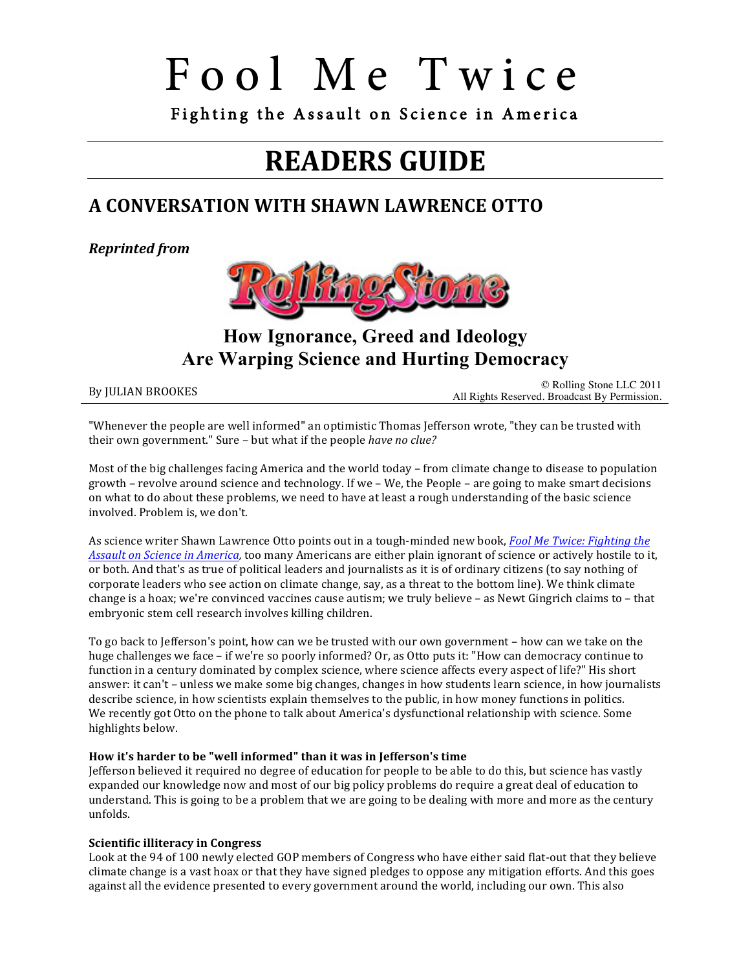Fighting the Assault on Science in America

## **READERS GUIDE**

### **A CONVERSATION WITH SHAWN LAWRENCE OTTO**

*Reprinted from*



**How Ignorance, Greed and Ideology Are Warping Science and Hurting Democracy**

By JULIAN BROOKES<br>All Rights Reserved. Broadcast By Permission.

"Whenever the people are well informed" an optimistic Thomas Jefferson wrote, "they can be trusted with their own government." Sure - but what if the people have no clue?

Most of the big challenges facing America and the world today – from climate change to disease to population growth – revolve around science and technology. If we – We, the People – are going to make smart decisions on what to do about these problems, we need to have at least a rough understanding of the basic science involved. Problem is, we don't.

As science writer Shawn Lawrence Otto points out in a tough-minded new book, *Fool Me Twice: Fighting the Assault on Science in America*, too many Americans are either plain ignorant of science or actively hostile to it, or both. And that's as true of political leaders and journalists as it is of ordinary citizens (to say nothing of corporate leaders who see action on climate change, say, as a threat to the bottom line). We think climate change is a hoax; we're convinced vaccines cause autism; we truly believe – as Newt Gingrich claims to – that embryonic stem cell research involves killing children.

To go back to Jefferson's point, how can we be trusted with our own government – how can we take on the huge challenges we face – if we're so poorly informed? Or, as Otto puts it: "How can democracy continue to function in a century dominated by complex science, where science affects every aspect of life?" His short answer: it can't – unless we make some big changes, changes in how students learn science, in how journalists describe science, in how scientists explain themselves to the public, in how money functions in politics. We recently got Otto on the phone to talk about America's dysfunctional relationship with science. Some highlights below.

#### How it's harder to be "well informed" than it was in Jefferson's time

Jefferson believed it required no degree of education for people to be able to do this, but science has vastly expanded our knowledge now and most of our big policy problems do require a great deal of education to understand. This is going to be a problem that we are going to be dealing with more and more as the century unfolds.

#### **Scientific illiteracy in Congress**

Look at the 94 of 100 newly elected GOP members of Congress who have either said flat-out that they believe climate change is a vast hoax or that they have signed pledges to oppose any mitigation efforts. And this goes against all the evidence presented to every government around the world, including our own. This also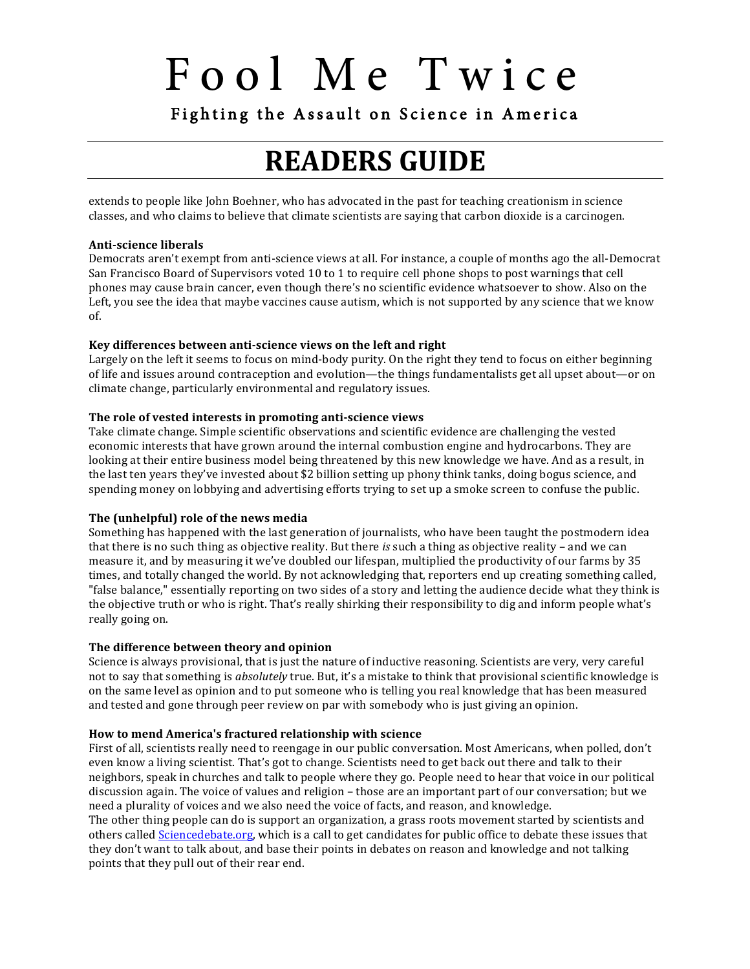Fighting the Assault on Science in America

## **READERS GUIDE**

extends to people like John Boehner, who has advocated in the past for teaching creationism in science classes, and who claims to believe that climate scientists are saying that carbon dioxide is a carcinogen.

#### **Anti-science liberals**

Democrats aren't exempt from anti-science views at all. For instance, a couple of months ago the all-Democrat San Francisco Board of Supervisors voted 10 to 1 to require cell phone shops to post warnings that cell phones may cause brain cancer, even though there's no scientific evidence whatsoever to show. Also on the Left, you see the idea that maybe vaccines cause autism, which is not supported by any science that we know of.

#### **Key differences between anti-science views on the left and right**

Largely on the left it seems to focus on mind-body purity. On the right they tend to focus on either beginning of life and issues around contraception and evolution—the things fundamentalists get all upset about—or on climate change, particularly environmental and regulatory issues.

#### The role of vested interests in promoting anti-science views

Take climate change. Simple scientific observations and scientific evidence are challenging the vested economic interests that have grown around the internal combustion engine and hydrocarbons. They are looking at their entire business model being threatened by this new knowledge we have. And as a result, in the last ten years they've invested about \$2 billion setting up phony think tanks, doing bogus science, and spending money on lobbying and advertising efforts trying to set up a smoke screen to confuse the public.

#### The (unhelpful) role of the news media

Something has happened with the last generation of journalists, who have been taught the postmodern idea that there is no such thing as objective reality. But there *is* such a thing as objective reality – and we can measure it, and by measuring it we've doubled our lifespan, multiplied the productivity of our farms by 35 times, and totally changed the world. By not acknowledging that, reporters end up creating something called, "false balance," essentially reporting on two sides of a story and letting the audience decide what they think is the objective truth or who is right. That's really shirking their responsibility to dig and inform people what's really going on.

#### The difference between theory and opinion

Science is always provisional, that is just the nature of inductive reasoning. Scientists are very, very careful not to say that something is *absolutely* true. But, it's a mistake to think that provisional scientific knowledge is on the same level as opinion and to put someone who is telling you real knowledge that has been measured and tested and gone through peer review on par with somebody who is just giving an opinion.

#### How to mend America's fractured relationship with science

First of all, scientists really need to reengage in our public conversation. Most Americans, when polled, don't even know a living scientist. That's got to change. Scientists need to get back out there and talk to their neighbors, speak in churches and talk to people where they go. People need to hear that voice in our political discussion again. The voice of values and religion – those are an important part of our conversation; but we need a plurality of voices and we also need the voice of facts, and reason, and knowledge. The other thing people can do is support an organization, a grass roots movement started by scientists and others called **Sciencedebate.org**, which is a call to get candidates for public office to debate these issues that they don't want to talk about, and base their points in debates on reason and knowledge and not talking

points that they pull out of their rear end.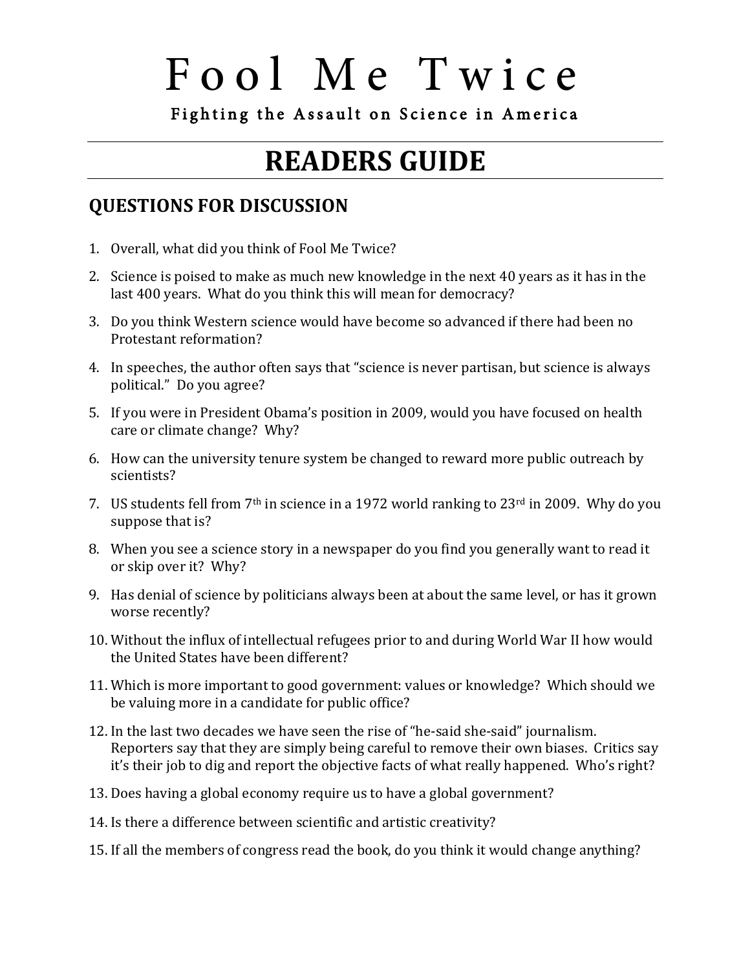Fighting the Assault on Science in America

## **READERS GUIDE**

### **QUESTIONS FOR DISCUSSION**

- 1. Overall, what did you think of Fool Me Twice?
- 2. Science is poised to make as much new knowledge in the next 40 years as it has in the last 400 years. What do you think this will mean for democracy?
- 3. Do you think Western science would have become so advanced if there had been no Protestant reformation?
- 4. In speeches, the author often says that "science is never partisan, but science is always political." Do you agree?
- 5. If you were in President Obama's position in 2009, would you have focused on health care or climate change? Why?
- 6. How can the university tenure system be changed to reward more public outreach by scientists?
- 7. US students fell from  $7<sup>th</sup>$  in science in a 1972 world ranking to 23<sup>rd</sup> in 2009. Why do you suppose that is?
- 8. When you see a science story in a newspaper do you find you generally want to read it or skip over it? Why?
- 9. Has denial of science by politicians always been at about the same level, or has it grown worse recently?
- 10. Without the influx of intellectual refugees prior to and during World War II how would the United States have been different?
- 11. Which is more important to good government: values or knowledge? Which should we be valuing more in a candidate for public office?
- 12. In the last two decades we have seen the rise of "he-said she-said" journalism. Reporters say that they are simply being careful to remove their own biases. Critics say it's their job to dig and report the objective facts of what really happened. Who's right?
- 13. Does having a global economy require us to have a global government?
- 14. Is there a difference between scientific and artistic creativity?
- 15. If all the members of congress read the book, do you think it would change anything?